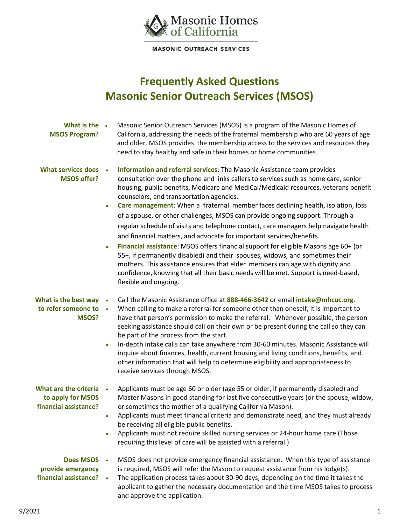

**MASONIC OUTREACH SERVICES** 

## **Frequently Asked Questions Masonic Senior Outreach Services (MSOS)**

| What is the .<br><b>MSOS Program?</b>                               | Masonic Senior Outreach Services (MSOS) is a program of the Masonic Homes of<br>California, addressing the needs of the fraternal membership who are 60 years of age<br>and older. MSOS provides the membership access to the services and resources they<br>need to stay healthy and safe in their homes or home communities.                                                                                                                                                                                                                                                                                                                                                                                                                                                                                                                                                                                                                                                                                            |
|---------------------------------------------------------------------|---------------------------------------------------------------------------------------------------------------------------------------------------------------------------------------------------------------------------------------------------------------------------------------------------------------------------------------------------------------------------------------------------------------------------------------------------------------------------------------------------------------------------------------------------------------------------------------------------------------------------------------------------------------------------------------------------------------------------------------------------------------------------------------------------------------------------------------------------------------------------------------------------------------------------------------------------------------------------------------------------------------------------|
| <b>What services does</b><br><b>MSOS offer?</b>                     | Information and referral services: The Masonic Assistance team provides<br>consultation over the phone and links callers to services such as home care, senior<br>housing, public benefits, Medicare and MediCal/Medicaid resources, veterans benefit<br>counselors, and transportation agencies.<br>Care management: When a fraternal member faces declining health, isolation, loss<br>of a spouse, or other challenges, MSOS can provide ongoing support. Through a<br>regular schedule of visits and telephone contact, care managers help navigate health<br>and financial matters, and advocate for important services/benefits.<br>Financial assistance: MSOS offers financial support for eligible Masons age 60+ (or<br>$\bullet$<br>55+, if permanently disabled) and their spouses, widows, and sometimes their<br>mothers. This assistance ensures that elder members can age with dignity and<br>confidence, knowing that all their basic needs will be met. Support is need-based,<br>flexible and ongoing. |
| What is the best way<br>to refer someone to •<br>MSOS?              | Call the Masonic Assistance office at 888-466-3642 or email intake@mhcuc.org.<br>$\bullet$<br>When calling to make a referral for someone other than oneself, it is important to<br>have that person's permission to make the referral. Whenever possible, the person<br>seeking assistance should call on their own or be present during the call so they can<br>be part of the process from the start.<br>In-depth intake calls can take anywhere from 30-60 minutes. Masonic Assistance will<br>$\bullet$<br>inquire about finances, health, current housing and living conditions, benefits, and<br>other information that will help to determine eligibility and appropriateness to<br>receive services through MSOS.                                                                                                                                                                                                                                                                                                |
| What are the criteria<br>to apply for MSOS<br>financial assistance? | Applicants must be age 60 or older (age 55 or older, if permanently disabled) and<br>Master Masons in good standing for last five consecutive years (or the spouse, widow,<br>or sometimes the mother of a qualifying California Mason).<br>Applicants must meet financial criteria and demonstrate need, and they must already<br>$\bullet$<br>be receiving all eligible public benefits.<br>Applicants must not require skilled nursing services or 24-hour home care (Those<br>$\bullet$<br>requiring this level of care will be assisted with a referral.)                                                                                                                                                                                                                                                                                                                                                                                                                                                            |
| <b>Does MSOS</b><br>provide emergency<br>financial assistance?      | MSOS does not provide emergency financial assistance. When this type of assistance<br>is required, MSOS will refer the Mason to request assistance from his lodge(s).<br>The application process takes about 30-90 days, depending on the time it takes the<br>$\bullet$<br>applicant to gather the necessary documentation and the time MSOS takes to process                                                                                                                                                                                                                                                                                                                                                                                                                                                                                                                                                                                                                                                            |

and approve the application.